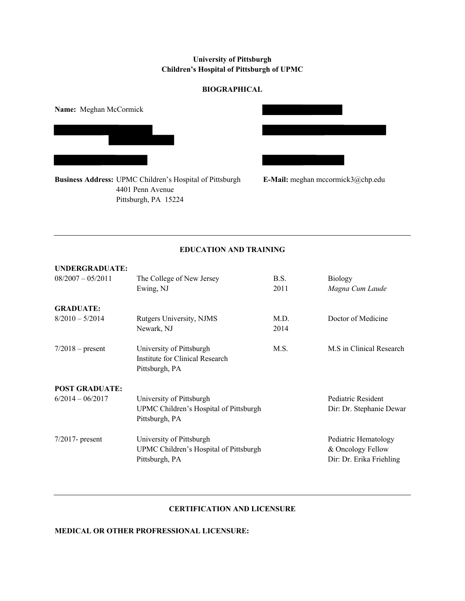# **University of Pittsburgh Children's Hospital of Pittsburgh of UPMC**

## **BIOGRAPHICAL**





**Business Address:** UPMC Children's Hospital of Pittsburgh **E-Mail:** meghan mccormick3@chp.edu 4401 Penn Avenue Pittsburgh, PA 15224

# **EDUCATION AND TRAINING**

| UNDERGRADUATE:        |                                                                                      |      |                                                                       |
|-----------------------|--------------------------------------------------------------------------------------|------|-----------------------------------------------------------------------|
| $08/2007 - 05/2011$   | The College of New Jersey                                                            | B.S. | <b>Biology</b>                                                        |
|                       | Ewing, NJ                                                                            | 2011 | Magna Cum Laude                                                       |
| <b>GRADUATE:</b>      |                                                                                      |      |                                                                       |
| $8/2010 - 5/2014$     | Rutgers University, NJMS                                                             | M.D. | Doctor of Medicine                                                    |
|                       | Newark, NJ                                                                           | 2014 |                                                                       |
| $7/2018$ – present    | University of Pittsburgh<br>Institute for Clinical Research<br>Pittsburgh, PA        | M.S. | M.S in Clinical Research                                              |
| <b>POST GRADUATE:</b> |                                                                                      |      |                                                                       |
| $6/2014 - 06/2017$    | University of Pittsburgh                                                             |      | Pediatric Resident                                                    |
|                       | UPMC Children's Hospital of Pittsburgh<br>Pittsburgh, PA                             |      | Dir: Dr. Stephanie Dewar                                              |
| $7/2017$ - present    | University of Pittsburgh<br>UPMC Children's Hospital of Pittsburgh<br>Pittsburgh, PA |      | Pediatric Hematology<br>& Oncology Fellow<br>Dir: Dr. Erika Friehling |

# **CERTIFICATION AND LICENSURE**

**MEDICAL OR OTHER PROFRESSIONAL LICENSURE:**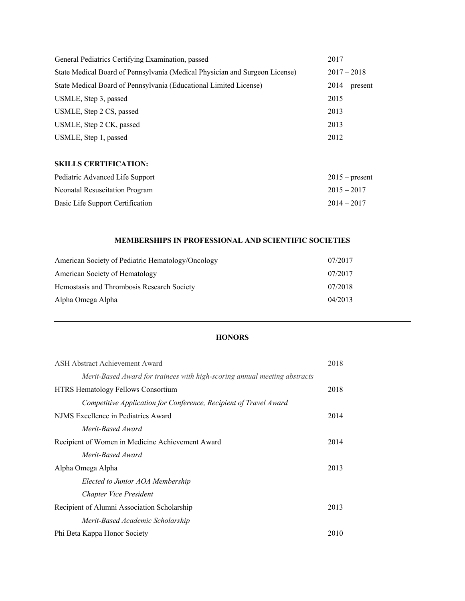| General Pediatrics Certifying Examination, passed                                                                                                                                                                                                                                                                                  | 2017                 |
|------------------------------------------------------------------------------------------------------------------------------------------------------------------------------------------------------------------------------------------------------------------------------------------------------------------------------------|----------------------|
| State Medical Board of Pennsylvania (Medical Physician and Surgeon License)                                                                                                                                                                                                                                                        | $2017 - 2018$        |
| State Medical Board of Pennsylvania (Educational Limited License)                                                                                                                                                                                                                                                                  | $2014$ – present     |
| USMLE, Step 3, passed                                                                                                                                                                                                                                                                                                              | 2015                 |
| USMLE, Step 2 CS, passed                                                                                                                                                                                                                                                                                                           | 2013                 |
| USMLE, Step 2 CK, passed                                                                                                                                                                                                                                                                                                           | 2013                 |
| USMLE, Step 1, passed                                                                                                                                                                                                                                                                                                              | 2012                 |
|                                                                                                                                                                                                                                                                                                                                    |                      |
| <b>SKILLS CERTIFICATION:</b>                                                                                                                                                                                                                                                                                                       |                      |
| $\mathbf{D}$ $\mathbf{I}$ $\mathbf{I}$ $\mathbf{I}$ $\mathbf{I}$ $\mathbf{I}$ $\mathbf{I}$ $\mathbf{I}$ $\mathbf{I}$ $\mathbf{I}$ $\mathbf{I}$ $\mathbf{I}$ $\mathbf{I}$ $\mathbf{I}$ $\mathbf{I}$ $\mathbf{I}$ $\mathbf{I}$ $\mathbf{I}$ $\mathbf{I}$ $\mathbf{I}$ $\mathbf{I}$ $\mathbf{I}$ $\mathbf{I}$ $\mathbf{I}$ $\mathbf{$ | $\sim$ $\sim$ $\sim$ |

| Pediatric Advanced Life Support  | $2015$ – present |
|----------------------------------|------------------|
| Neonatal Resuscitation Program   | $2015 - 2017$    |
| Basic Life Support Certification | $2014 - 2017$    |

# **MEMBERSHIPS IN PROFESSIONAL AND SCIENTIFIC SOCIETIES**

| American Society of Pediatric Hematology/Oncology | 07/2017 |
|---------------------------------------------------|---------|
| American Society of Hematology                    | 07/2017 |
| Hemostasis and Thrombosis Research Society        | 07/2018 |
| Alpha Omega Alpha                                 | 04/2013 |

## **HONORS**

| ASH Abstract Achievement Award                                            |  |
|---------------------------------------------------------------------------|--|
| Merit-Based Award for trainees with high-scoring annual meeting abstracts |  |
| HTRS Hematology Fellows Consortium                                        |  |
| Competitive Application for Conference, Recipient of Travel Award         |  |
| NJMS Excellence in Pediatrics Award                                       |  |
| Merit-Based Award                                                         |  |
| Recipient of Women in Medicine Achievement Award                          |  |
| Merit-Based Award                                                         |  |
| Alpha Omega Alpha                                                         |  |
| Elected to Junior AOA Membership                                          |  |
| Chapter Vice President                                                    |  |
| Recipient of Alumni Association Scholarship                               |  |
| Merit-Based Academic Scholarship                                          |  |
| Phi Beta Kappa Honor Society                                              |  |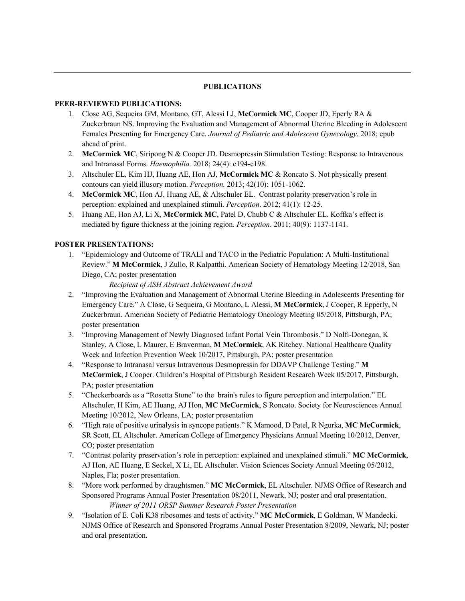#### **PUBLICATIONS**

#### **PEER-REVIEWED PUBLICATIONS:**

- 1. Close AG, Sequeira GM, Montano, GT, Alessi LJ, **McCormick MC**, Cooper JD, Eperly RA & Zuckerbraun NS. Improving the Evaluation and Management of Abnormal Uterine Bleeding in Adolescent Females Presenting for Emergency Care. *Journal of Pediatric and Adolescent Gynecology*. 2018; epub ahead of print.
- 2. **McCormick MC**, Siripong N & Cooper JD. Desmopressin Stimulation Testing: Response to Intravenous and Intranasal Forms. *Haemophilia.* 2018; 24(4): e194-e198.
- 3. Altschuler EL, Kim HJ, Huang AE, Hon AJ, **McCormick MC** & Roncato S. Not physically present contours can yield illusory motion. *Perception.* 2013; 42(10): 1051-1062.
- 4. **McCormick MC**, Hon AJ, Huang AE, & Altschuler EL. Contrast polarity preservation's role in perception: explained and unexplained stimuli. *Perception*. 2012; 41(1): 12-25.
- 5. Huang AE, Hon AJ, Li X, **McCormick MC**, Patel D, Chubb C & Altschuler EL. Koffka's effect is mediated by figure thickness at the joining region. *Perception*. 2011; 40(9): 1137-1141.

## **POSTER PRESENTATIONS:**

1. "Epidemiology and Outcome of TRALI and TACO in the Pediatric Population: A Multi-Institutional Review." **M McCormick**, J Zullo, R Kalpatthi. American Society of Hematology Meeting 12/2018, San Diego, CA; poster presentation

*Recipient of ASH Abstract Achievement Award*

- 2. "Improving the Evaluation and Management of Abnormal Uterine Bleeding in Adolescents Presenting for Emergency Care." A Close, G Sequeira, G Montano, L Alessi, **M McCormick**, J Cooper, R Epperly, N Zuckerbraun. American Society of Pediatric Hematology Oncology Meeting 05/2018, Pittsburgh, PA; poster presentation
- 3. "Improving Management of Newly Diagnosed Infant Portal Vein Thrombosis." D Nolfi-Donegan, K Stanley, A Close, L Maurer, E Braverman, **M McCormick**, AK Ritchey. National Healthcare Quality Week and Infection Prevention Week 10/2017, Pittsburgh, PA; poster presentation
- 4. "Response to Intranasal versus Intravenous Desmopressin for DDAVP Challenge Testing." **M McCormick**, J Cooper. Children's Hospital of Pittsburgh Resident Research Week 05/2017, Pittsburgh, PA; poster presentation
- 5. "Checkerboards as a "Rosetta Stone" to the brain's rules to figure perception and interpolation." EL Altschuler, H Kim, AE Huang, AJ Hon, **MC McCormick**, S Roncato. Society for Neurosciences Annual Meeting 10/2012, New Orleans, LA; poster presentation
- 6. "High rate of positive urinalysis in syncope patients." K Mamood, D Patel, R Ngurka, **MC McCormick**, SR Scott, EL Altschuler. American College of Emergency Physicians Annual Meeting 10/2012, Denver, CO; poster presentation
- 7. "Contrast polarity preservation's role in perception: explained and unexplained stimuli." **MC McCormick**, AJ Hon, AE Huang, E Seckel, X Li, EL Altschuler. Vision Sciences Society Annual Meeting 05/2012, Naples, Fla; poster presentation.
- 8. "More work performed by draughtsmen." **MC McCormick**, EL Altschuler. NJMS Office of Research and Sponsored Programs Annual Poster Presentation 08/2011, Newark, NJ; poster and oral presentation. *Winner of 2011 ORSP Summer Research Poster Presentation*
- 9. "Isolation of E. Coli K38 ribosomes and tests of activity." **MC McCormick**, E Goldman, W Mandecki. NJMS Office of Research and Sponsored Programs Annual Poster Presentation 8/2009, Newark, NJ; poster and oral presentation.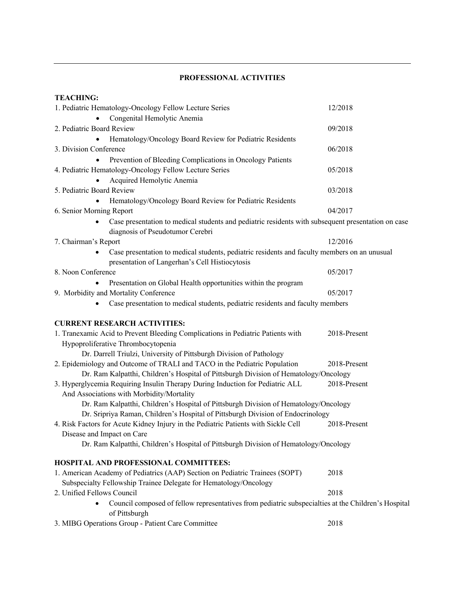## **PROFESSIONAL ACTIVITIES**

| <b>TEACHING:</b>                                                                                                                                    |              |
|-----------------------------------------------------------------------------------------------------------------------------------------------------|--------------|
| 1. Pediatric Hematology-Oncology Fellow Lecture Series                                                                                              | 12/2018      |
| Congenital Hemolytic Anemia                                                                                                                         |              |
| 2. Pediatric Board Review                                                                                                                           | 09/2018      |
| Hematology/Oncology Board Review for Pediatric Residents                                                                                            |              |
| 3. Division Conference                                                                                                                              | 06/2018      |
| Prevention of Bleeding Complications in Oncology Patients                                                                                           |              |
| 4. Pediatric Hematology-Oncology Fellow Lecture Series                                                                                              | 05/2018      |
| Acquired Hemolytic Anemia                                                                                                                           |              |
| 5. Pediatric Board Review                                                                                                                           | 03/2018      |
| Hematology/Oncology Board Review for Pediatric Residents                                                                                            |              |
| 6. Senior Morning Report                                                                                                                            | 04/2017      |
| Case presentation to medical students and pediatric residents with subsequent presentation on case<br>diagnosis of Pseudotumor Cerebri              |              |
| 7. Chairman's Report                                                                                                                                | 12/2016      |
| Case presentation to medical students, pediatric residents and faculty members on an unusual<br>٠<br>presentation of Langerhan's Cell Histiocytosis |              |
| 8. Noon Conference                                                                                                                                  | 05/2017      |
| Presentation on Global Health opportunities within the program                                                                                      |              |
| 9. Morbidity and Mortality Conference                                                                                                               | 05/2017      |
| Case presentation to medical students, pediatric residents and faculty members                                                                      |              |
| <b>CURRENT RESEARCH ACTIVITIES:</b>                                                                                                                 |              |
| 1. Tranexamic Acid to Prevent Bleeding Complications in Pediatric Patients with                                                                     | 2018-Present |
| Hypoproliferative Thrombocytopenia                                                                                                                  |              |
| Dr. Darrell Triulzi, University of Pittsburgh Division of Pathology                                                                                 |              |
| 2. Epidemiology and Outcome of TRALI and TACO in the Pediatric Population                                                                           | 2018-Present |
| Dr. Ram Kalpatthi, Children's Hospital of Pittsburgh Division of Hematology/Oncology                                                                |              |
| 3. Hyperglycemia Requiring Insulin Therapy During Induction for Pediatric ALL<br>And Associations with Morbidity/Mortality                          | 2018-Present |
| Dr. Ram Kalpatthi, Children's Hospital of Pittsburgh Division of Hematology/Oncology                                                                |              |
| Dr. Sripriya Raman, Children's Hospital of Pittsburgh Division of Endocrinology                                                                     |              |
| 4. Risk Factors for Acute Kidney Injury in the Pediatric Patients with Sickle Cell                                                                  | 2018-Present |
| Disease and Impact on Care                                                                                                                          |              |
| Dr. Ram Kalpatthi, Children's Hospital of Pittsburgh Division of Hematology/Oncology                                                                |              |
| HOSPITAL AND PROFESSIONAL COMMITTEES:                                                                                                               |              |
| 1. American Academy of Pediatrics (AAP) Section on Pediatric Trainees (SOPT)                                                                        | 2018         |
| Subspecialty Fellowship Trainee Delegate for Hematology/Oncology                                                                                    |              |
| 2. Unified Fellows Council                                                                                                                          | 2018         |
| Council composed of fellow representatives from pediatric subspecialties at the Children's Hospital<br>$\bullet$<br>of Pittsburgh                   |              |
| 3. MIBG Operations Group - Patient Care Committee                                                                                                   | 2018         |